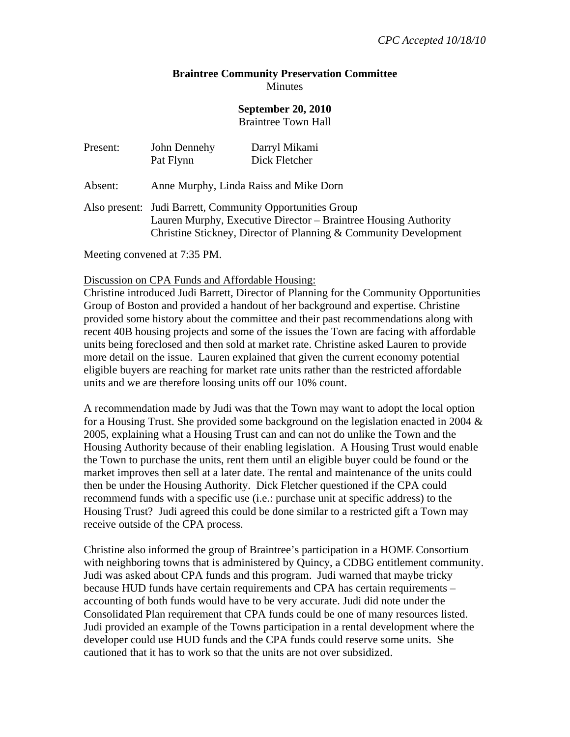## **Braintree Community Preservation Committee Minutes**

## **September 20, 2010**

Braintree Town Hall

| Present: | John Dennehy<br>Pat Flynn                                                                                                                                                                        | Darryl Mikami<br>Dick Fletcher |
|----------|--------------------------------------------------------------------------------------------------------------------------------------------------------------------------------------------------|--------------------------------|
| Absent:  | Anne Murphy, Linda Raiss and Mike Dorn                                                                                                                                                           |                                |
|          | Also present: Judi Barrett, Community Opportunities Group<br>Lauren Murphy, Executive Director – Braintree Housing Authority<br>Christine Stickney, Director of Planning & Community Development |                                |

Meeting convened at 7:35 PM.

Discussion on CPA Funds and Affordable Housing:

Christine introduced Judi Barrett, Director of Planning for the Community Opportunities Group of Boston and provided a handout of her background and expertise. Christine provided some history about the committee and their past recommendations along with recent 40B housing projects and some of the issues the Town are facing with affordable units being foreclosed and then sold at market rate. Christine asked Lauren to provide more detail on the issue. Lauren explained that given the current economy potential eligible buyers are reaching for market rate units rather than the restricted affordable units and we are therefore loosing units off our 10% count.

A recommendation made by Judi was that the Town may want to adopt the local option for a Housing Trust. She provided some background on the legislation enacted in 2004  $\&$ 2005, explaining what a Housing Trust can and can not do unlike the Town and the Housing Authority because of their enabling legislation. A Housing Trust would enable the Town to purchase the units, rent them until an eligible buyer could be found or the market improves then sell at a later date. The rental and maintenance of the units could then be under the Housing Authority. Dick Fletcher questioned if the CPA could recommend funds with a specific use (i.e.: purchase unit at specific address) to the Housing Trust? Judi agreed this could be done similar to a restricted gift a Town may receive outside of the CPA process.

Christine also informed the group of Braintree's participation in a HOME Consortium with neighboring towns that is administered by Quincy, a CDBG entitlement community. Judi was asked about CPA funds and this program. Judi warned that maybe tricky because HUD funds have certain requirements and CPA has certain requirements – accounting of both funds would have to be very accurate. Judi did note under the Consolidated Plan requirement that CPA funds could be one of many resources listed. Judi provided an example of the Towns participation in a rental development where the developer could use HUD funds and the CPA funds could reserve some units. She cautioned that it has to work so that the units are not over subsidized.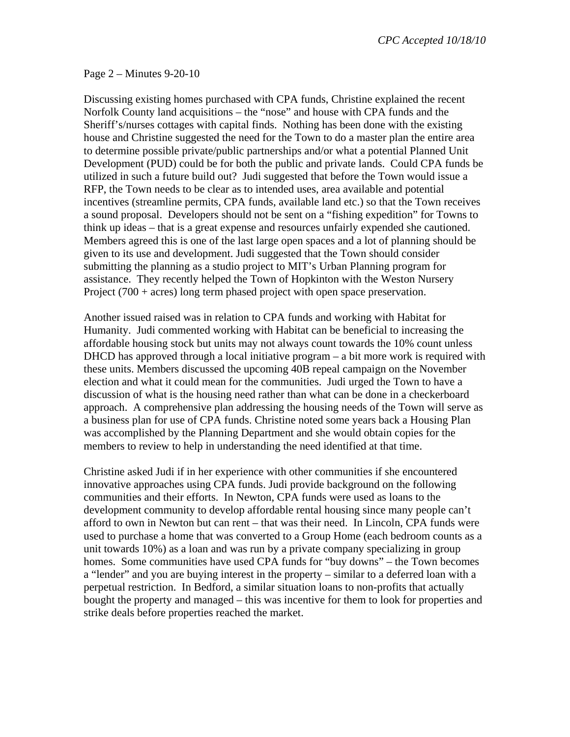Page 2 – Minutes 9-20-10

Discussing existing homes purchased with CPA funds, Christine explained the recent Norfolk County land acquisitions – the "nose" and house with CPA funds and the Sheriff's/nurses cottages with capital finds. Nothing has been done with the existing house and Christine suggested the need for the Town to do a master plan the entire area to determine possible private/public partnerships and/or what a potential Planned Unit Development (PUD) could be for both the public and private lands. Could CPA funds be utilized in such a future build out? Judi suggested that before the Town would issue a RFP, the Town needs to be clear as to intended uses, area available and potential incentives (streamline permits, CPA funds, available land etc.) so that the Town receives a sound proposal. Developers should not be sent on a "fishing expedition" for Towns to think up ideas – that is a great expense and resources unfairly expended she cautioned. Members agreed this is one of the last large open spaces and a lot of planning should be given to its use and development. Judi suggested that the Town should consider submitting the planning as a studio project to MIT's Urban Planning program for assistance. They recently helped the Town of Hopkinton with the Weston Nursery Project  $(700 + \text{acres})$  long term phased project with open space preservation.

Another issued raised was in relation to CPA funds and working with Habitat for Humanity. Judi commented working with Habitat can be beneficial to increasing the affordable housing stock but units may not always count towards the 10% count unless DHCD has approved through a local initiative program – a bit more work is required with these units. Members discussed the upcoming 40B repeal campaign on the November election and what it could mean for the communities. Judi urged the Town to have a discussion of what is the housing need rather than what can be done in a checkerboard approach. A comprehensive plan addressing the housing needs of the Town will serve as a business plan for use of CPA funds. Christine noted some years back a Housing Plan was accomplished by the Planning Department and she would obtain copies for the members to review to help in understanding the need identified at that time.

Christine asked Judi if in her experience with other communities if she encountered innovative approaches using CPA funds. Judi provide background on the following communities and their efforts. In Newton, CPA funds were used as loans to the development community to develop affordable rental housing since many people can't afford to own in Newton but can rent – that was their need. In Lincoln, CPA funds were used to purchase a home that was converted to a Group Home (each bedroom counts as a unit towards 10%) as a loan and was run by a private company specializing in group homes. Some communities have used CPA funds for "buy downs" – the Town becomes a "lender" and you are buying interest in the property – similar to a deferred loan with a perpetual restriction. In Bedford, a similar situation loans to non-profits that actually bought the property and managed – this was incentive for them to look for properties and strike deals before properties reached the market.